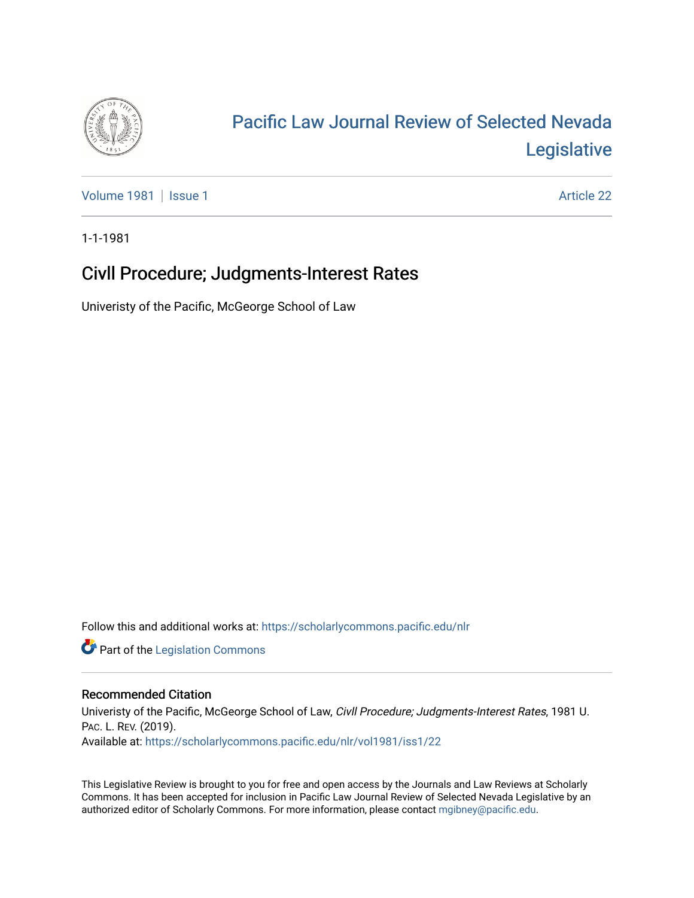

# [Pacific Law Journal Review of Selected Nevada](https://scholarlycommons.pacific.edu/nlr)  [Legislative](https://scholarlycommons.pacific.edu/nlr)

[Volume 1981](https://scholarlycommons.pacific.edu/nlr/vol1981) | [Issue 1](https://scholarlycommons.pacific.edu/nlr/vol1981/iss1) Article 22

1-1-1981

## Civll Procedure; Judgments-Interest Rates

Univeristy of the Pacific, McGeorge School of Law

Follow this and additional works at: [https://scholarlycommons.pacific.edu/nlr](https://scholarlycommons.pacific.edu/nlr?utm_source=scholarlycommons.pacific.edu%2Fnlr%2Fvol1981%2Fiss1%2F22&utm_medium=PDF&utm_campaign=PDFCoverPages) 

**Part of the [Legislation Commons](http://network.bepress.com/hgg/discipline/859?utm_source=scholarlycommons.pacific.edu%2Fnlr%2Fvol1981%2Fiss1%2F22&utm_medium=PDF&utm_campaign=PDFCoverPages)** 

#### Recommended Citation

Univeristy of the Pacific, McGeorge School of Law, Civll Procedure; Judgments-Interest Rates, 1981 U. PAC. L. REV. (2019). Available at: [https://scholarlycommons.pacific.edu/nlr/vol1981/iss1/22](https://scholarlycommons.pacific.edu/nlr/vol1981/iss1/22?utm_source=scholarlycommons.pacific.edu%2Fnlr%2Fvol1981%2Fiss1%2F22&utm_medium=PDF&utm_campaign=PDFCoverPages)

This Legislative Review is brought to you for free and open access by the Journals and Law Reviews at Scholarly Commons. It has been accepted for inclusion in Pacific Law Journal Review of Selected Nevada Legislative by an authorized editor of Scholarly Commons. For more information, please contact [mgibney@pacific.edu](mailto:mgibney@pacific.edu).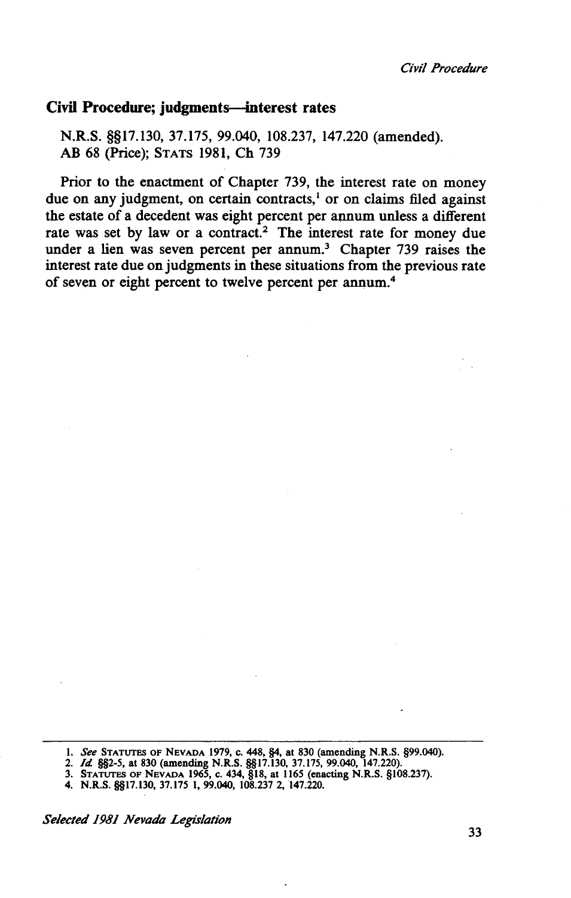#### Civil Procedure; judgments—interest rates

N.R.S. §§17.130, 37.175, 99.040, 108.237, 147.220 (amended). AB 68 (Price); STATS 1981, Ch 739

Prior to the enactment of Chapter 739, the interest rate on money due on any judgment, on certain contracts,<sup>1</sup> or on claims filed against the estate of a decedent was eight percent per annum unless a different rate was set by law or a contract.<sup>2</sup> The interest rate for money due under a lien was seven percent per annum.<sup>3</sup> Chapter 739 raises the interest rate due on judgments in these situations from the previous rate of seven or eight percent to twelve percent per annum.<sup>4</sup>

- 
- 3. STATUTES OF NEVADA 1965, C. 434, §18, at 1165 (enacting N.R.S. §108.237).
- 4. N.R.S. §§17.130, 37.175 1, 99.040, 108.237 2, 147.220.

*Selected 1981 Nevada Legislation* 

<sup>1.</sup> *See* STATUTES OF NEVADA 1979, c. 448, §4, at 830 (amending N.R.S. §99.040). 2. *Id* §§2-5, at 830 (amending N.R.S. §§17.130, 37.175, 99.040, 147.220).